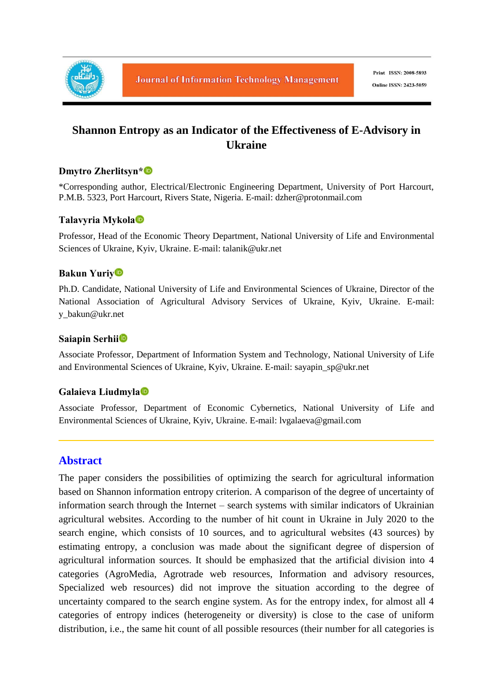

# **Shannon Entropy as an Indicator of the Effectiveness of E-Advisory in Ukraine**

### **Dmytro Zherlitsyn\***

\*Corresponding author, Electrical/Electronic Engineering Department, University of Port Harcourt, P.M.B. 5323, Port Harcourt, Rivers State, Nigeria. E-mail: dzher@protonmail.com

#### **Talavyria Mykola**

Professor, Head of the Economic Theory Department, National University of Life and Environmental Sciences of Ukraine, Kyiv, Ukraine. E-mail: talanik@ukr.net

#### **Bakun Yuriy**

Ph.D. Candidate, National University of Life and Environmental Sciences of Ukraine, Director of the National Association of Agricultural Advisory Services of Ukraine, Kyiv, Ukraine. E-mail: y\_bakun@ukr.net

#### **Saiapin Serhii**

Associate Professor, Department of Information System and Technology, National University of Life and Environmental Sciences of Ukraine, Kyiv, Ukraine. E-mail: sayapin\_sp@ukr.net

#### **Galaieva Liudmyla**

Associate Professor, Department of Economic Cybernetics, National University of Life and Environmental Sciences of Ukraine, Kyiv, Ukraine. E-mail: lvgalaeva@gmail.com

## **Abstract**

The paper considers the possibilities of optimizing the search for agricultural information based on Shannon information entropy criterion. A comparison of the degree of uncertainty of information search through the Internet – search systems with similar indicators of Ukrainian agricultural websites. According to the number of hit count in Ukraine in July 2020 to the search engine, which consists of 10 sources, and to agricultural websites (43 sources) by estimating entropy, a conclusion was made about the significant degree of dispersion of agricultural information sources. It should be emphasized that the artificial division into 4 categories (AgroMedia, Agrotrade web resources, Information and advisory resources, Specialized web resources) did not improve the situation according to the degree of uncertainty compared to the search engine system. As for the entropy index, for almost all 4 categories of entropy indices (heterogeneity or diversity) is close to the case of uniform distribution, i.e., the same hit count of all possible resources (their number for all categories is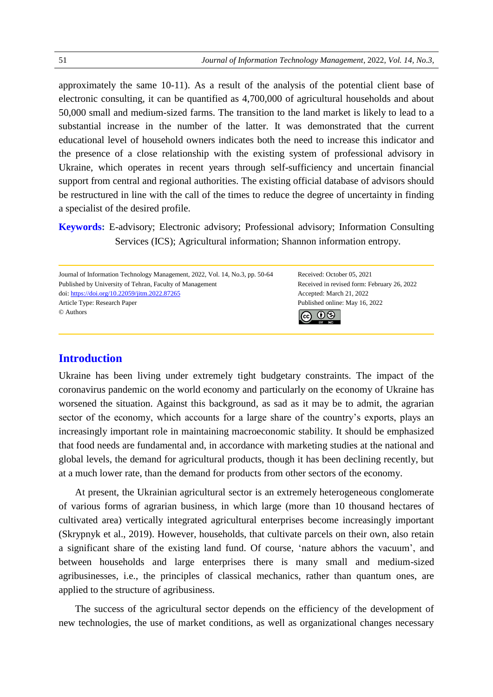approximately the same 10-11). As a result of the analysis of the potential client base of electronic consulting, it can be quantified as 4,700,000 of agricultural households and about 50,000 small and medium-sized farms. The transition to the land market is likely to lead to a substantial increase in the number of the latter. It was demonstrated that the current educational level of household owners indicates both the need to increase this indicator and the presence of a close relationship with the existing system of professional advisory in Ukraine, which operates in recent years through self-sufficiency and uncertain financial support from central and regional authorities. The existing official database of advisors should be restructured in line with the call of the times to reduce the degree of uncertainty in finding a specialist of the desired profile.

**Keywords:** E-advisory; Electronic advisory; Professional advisory; Information Consulting Services (ICS); Agricultural information; Shannon information entropy.



## **Introduction**

Ukraine has been living under extremely tight budgetary constraints. The impact of the coronavirus pandemic on the world economy and particularly on the economy of Ukraine has worsened the situation. Against this background, as sad as it may be to admit, the agrarian sector of the economy, which accounts for a large share of the country's exports, plays an increasingly important role in maintaining macroeconomic stability. It should be emphasized that food needs are fundamental and, in accordance with marketing studies at the national and global levels, the demand for agricultural products, though it has been declining recently, but at a much lower rate, than the demand for products from other sectors of the economy.

At present, the Ukrainian agricultural sector is an extremely heterogeneous conglomerate of various forms of agrarian business, in which large (more than 10 thousand hectares of cultivated area) vertically integrated agricultural enterprises become increasingly important (Skrypnyk et al., 2019). However, households, that cultivate parcels on their own, also retain a significant share of the existing land fund. Of course, 'nature abhors the vacuum', and between households and large enterprises there is many small and medium-sized agribusinesses, i.e., the principles of classical mechanics, rather than quantum ones, are applied to the structure of agribusiness.

The success of the agricultural sector depends on the efficiency of the development of new technologies, the use of market conditions, as well as organizational changes necessary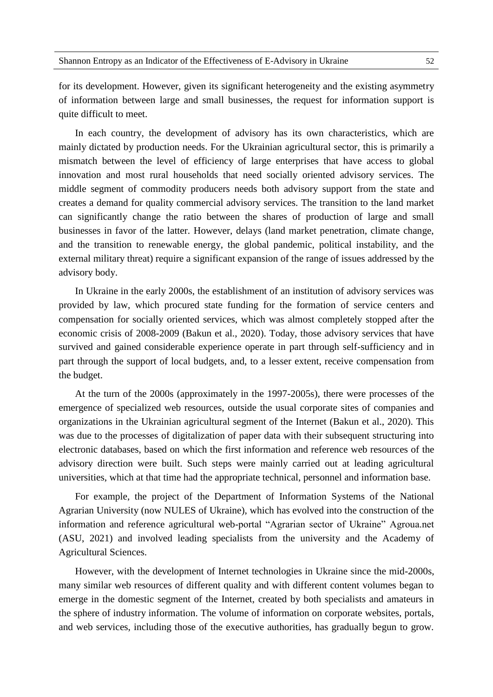for its development. However, given its significant heterogeneity and the existing asymmetry of information between large and small businesses, the request for information support is quite difficult to meet.

In each country, the development of advisory has its own characteristics, which are mainly dictated by production needs. For the Ukrainian agricultural sector, this is primarily a mismatch between the level of efficiency of large enterprises that have access to global innovation and most rural households that need socially oriented advisory services. The middle segment of commodity producers needs both advisory support from the state and creates a demand for quality commercial advisory services. The transition to the land market can significantly change the ratio between the shares of production of large and small businesses in favor of the latter. However, delays (land market penetration, climate change, and the transition to renewable energy, the global pandemic, political instability, and the external military threat) require a significant expansion of the range of issues addressed by the advisory body.

In Ukraine in the early 2000s, the establishment of an institution of advisory services was provided by law, which procured state funding for the formation of service centers and compensation for socially oriented services, which was almost completely stopped after the economic crisis of 2008-2009 (Bakun et al., 2020). Today, those advisory services that have survived and gained considerable experience operate in part through self-sufficiency and in part through the support of local budgets, and, to a lesser extent, receive compensation from the budget.

At the turn of the 2000s (approximately in the 1997-2005s), there were processes of the emergence of specialized web resources, outside the usual corporate sites of companies and organizations in the Ukrainian agricultural segment of the Internet (Bakun et al., 2020). This was due to the processes of digitalization of paper data with their subsequent structuring into electronic databases, based on which the first information and reference web resources of the advisory direction were built. Such steps were mainly carried out at leading agricultural universities, which at that time had the appropriate technical, personnel and information base.

For example, the project of the Department of Information Systems of the National Agrarian University (now NULES of Ukraine), which has evolved into the construction of the information and reference agricultural web-portal "Agrarian sector of Ukraine" Agroua.net (ASU, 2021) and involved leading specialists from the university and the Academy of Agricultural Sciences.

However, with the development of Internet technologies in Ukraine since the mid-2000s, many similar web resources of different quality and with different content volumes began to emerge in the domestic segment of the Internet, created by both specialists and amateurs in the sphere of industry information. The volume of information on corporate websites, portals, and web services, including those of the executive authorities, has gradually begun to grow.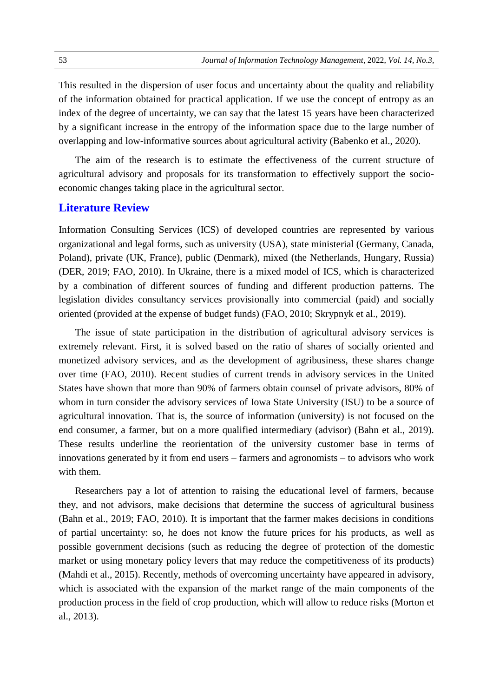This resulted in the dispersion of user focus and uncertainty about the quality and reliability of the information obtained for practical application. If we use the concept of entropy as an index of the degree of uncertainty, we can say that the latest 15 years have been characterized by a significant increase in the entropy of the information space due to the large number of overlapping and low-informative sources about agricultural activity (Babenko et al., 2020).

The aim of the research is to estimate the effectiveness of the current structure of agricultural advisory and proposals for its transformation to effectively support the socioeconomic changes taking place in the agricultural sector.

#### **Literature Review**

Information Consulting Services (ICS) of developed countries are represented by various organizational and legal forms, such as university (USA), state ministerial (Germany, Canada, Poland), private (UK, France), public (Denmark), mixed (the Netherlands, Hungary, Russia) (DER, 2019; FAO, 2010). In Ukraine, there is a mixed model of ICS, which is characterized by a combination of different sources of funding and different production patterns. The legislation divides consultancy services provisionally into commercial (paid) and socially oriented (provided at the expense of budget funds) (FAO, 2010; Skrypnyk et al., 2019).

The issue of state participation in the distribution of agricultural advisory services is extremely relevant. First, it is solved based on the ratio of shares of socially oriented and monetized advisory services, and as the development of agribusiness, these shares change over time (FAO, 2010). Recent studies of current trends in advisory services in the United States have shown that more than 90% of farmers obtain counsel of private advisors, 80% of whom in turn consider the advisory services of Iowa State University (ISU) to be a source of agricultural innovation. That is, the source of information (university) is not focused on the end consumer, a farmer, but on a more qualified intermediary (advisor) (Bahn et al., 2019). These results underline the reorientation of the university customer base in terms of innovations generated by it from end users – farmers and agronomists – to advisors who work with them.

Researchers pay a lot of attention to raising the educational level of farmers, because they, and not advisors, make decisions that determine the success of agricultural business (Bahn et al., 2019; FAO, 2010). It is important that the farmer makes decisions in conditions of partial uncertainty: so, he does not know the future prices for his products, as well as possible government decisions (such as reducing the degree of protection of the domestic market or using monetary policy levers that may reduce the competitiveness of its products) (Mahdi et al., 2015). Recently, methods of overcoming uncertainty have appeared in advisory, which is associated with the expansion of the market range of the main components of the production process in the field of crop production, which will allow to reduce risks (Morton et al., 2013).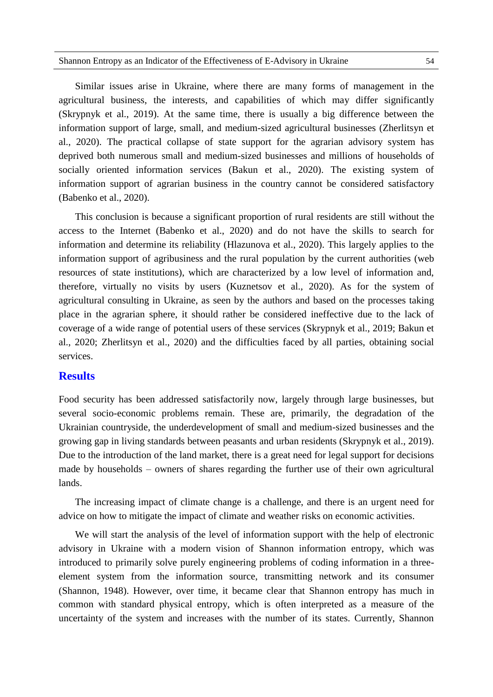Similar issues arise in Ukraine, where there are many forms of management in the agricultural business, the interests, and capabilities of which may differ significantly (Skrypnyk et al., 2019). At the same time, there is usually a big difference between the information support of large, small, and medium-sized agricultural businesses (Zherlitsyn et al., 2020). The practical collapse of state support for the agrarian advisory system has deprived both numerous small and medium-sized businesses and millions of households of socially oriented information services (Bakun et al., 2020). The existing system of information support of agrarian business in the country cannot be considered satisfactory (Babenko et al., 2020).

This conclusion is because a significant proportion of rural residents are still without the access to the Internet (Babenko et al., 2020) and do not have the skills to search for information and determine its reliability (Hlazunova et al., 2020). This largely applies to the information support of agribusiness and the rural population by the current authorities (web resources of state institutions), which are characterized by a low level of information and, therefore, virtually no visits by users (Kuznetsov et al., 2020). As for the system of agricultural consulting in Ukraine, as seen by the authors and based on the processes taking place in the agrarian sphere, it should rather be considered ineffective due to the lack of coverage of a wide range of potential users of these services (Skrypnyk et al., 2019; Bakun et al., 2020; Zherlitsyn et al., 2020) and the difficulties faced by all parties, obtaining social services.

#### **Results**

Food security has been addressed satisfactorily now, largely through large businesses, but several socio-economic problems remain. These are, primarily, the degradation of the Ukrainian countryside, the underdevelopment of small and medium-sized businesses and the growing gap in living standards between peasants and urban residents (Skrypnyk et al., 2019). Due to the introduction of the land market, there is a great need for legal support for decisions made by households – owners of shares regarding the further use of their own agricultural lands.

The increasing impact of climate change is a challenge, and there is an urgent need for advice on how to mitigate the impact of climate and weather risks on economic activities.

We will start the analysis of the level of information support with the help of electronic advisory in Ukraine with a modern vision of Shannon information entropy, which was introduced to primarily solve purely engineering problems of coding information in a threeelement system from the information source, transmitting network and its consumer (Shannon, 1948). However, over time, it became clear that Shannon entropy has much in common with standard physical entropy, which is often interpreted as a measure of the uncertainty of the system and increases with the number of its states. Currently, Shannon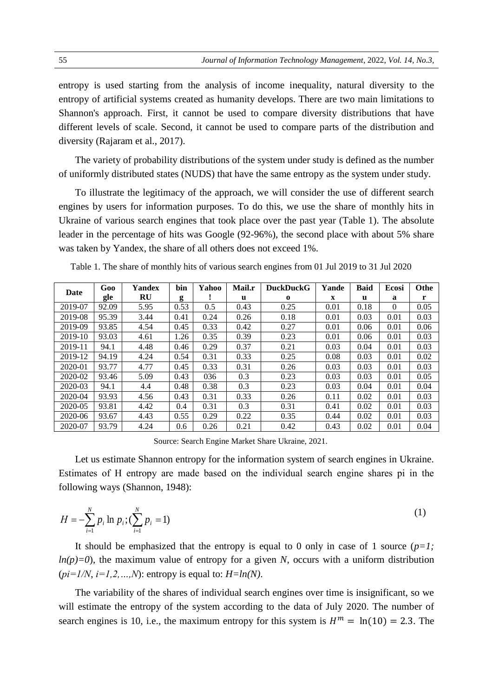entropy is used starting from the analysis of income inequality, natural diversity to the entropy of artificial systems created as humanity develops. There are two main limitations to Shannon's approach. First, it cannot be used to compare diversity distributions that have different levels of scale. Second, it cannot be used to compare parts of the distribution and diversity (Rajaram et al., 2017).

The variety of probability distributions of the system under study is defined as the number of uniformly distributed states (NUDS) that have the same entropy as the system under study.

To illustrate the legitimacy of the approach, we will consider the use of different search engines by users for information purposes. To do this, we use the share of monthly hits in Ukraine of various search engines that took place over the past year (Table 1). The absolute leader in the percentage of hits was Google (92-96%), the second place with about 5% share was taken by Yandex, the share of all others does not exceed 1%.

| Date    | Goo   | Yandex | bin  | Yahoo | <b>Mail.r</b> | <b>DuckDuckG</b> | Yande       | <b>Baid</b> | <b>Ecosi</b> | <b>Othe</b> |
|---------|-------|--------|------|-------|---------------|------------------|-------------|-------------|--------------|-------------|
|         | gle   | RU     | g    |       | u             | $\Omega$         | $\mathbf x$ | u           | a            | r           |
| 2019-07 | 92.09 | 5.95   | 0.53 | 0.5   | 0.43          | 0.25             | 0.01        | 0.18        | $\Omega$     | 0.05        |
| 2019-08 | 95.39 | 3.44   | 0.41 | 0.24  | 0.26          | 0.18             | 0.01        | 0.03        | 0.01         | 0.03        |
| 2019-09 | 93.85 | 4.54   | 0.45 | 0.33  | 0.42          | 0.27             | 0.01        | 0.06        | 0.01         | 0.06        |
| 2019-10 | 93.03 | 4.61   | 1.26 | 0.35  | 0.39          | 0.23             | 0.01        | 0.06        | 0.01         | 0.03        |
| 2019-11 | 94.1  | 4.48   | 0.46 | 0.29  | 0.37          | 0.21             | 0.03        | 0.04        | 0.01         | 0.03        |
| 2019-12 | 94.19 | 4.24   | 0.54 | 0.31  | 0.33          | 0.25             | 0.08        | 0.03        | 0.01         | 0.02        |
| 2020-01 | 93.77 | 4.77   | 0.45 | 0.33  | 0.31          | 0.26             | 0.03        | 0.03        | 0.01         | 0.03        |
| 2020-02 | 93.46 | 5.09   | 0.43 | 036   | 0.3           | 0.23             | 0.03        | 0.03        | 0.01         | 0.05        |
| 2020-03 | 94.1  | 4.4    | 0.48 | 0.38  | 0.3           | 0.23             | 0.03        | 0.04        | 0.01         | 0.04        |
| 2020-04 | 93.93 | 4.56   | 0.43 | 0.31  | 0.33          | 0.26             | 0.11        | 0.02        | 0.01         | 0.03        |
| 2020-05 | 93.81 | 4.42   | 0.4  | 0.31  | 0.3           | 0.31             | 0.41        | 0.02        | 0.01         | 0.03        |
| 2020-06 | 93.67 | 4.43   | 0.55 | 0.29  | 0.22          | 0.35             | 0.44        | 0.02        | 0.01         | 0.03        |
| 2020-07 | 93.79 | 4.24   | 0.6  | 0.26  | 0.21          | 0.42             | 0.43        | 0.02        | 0.01         | 0.04        |

Table 1. The share of monthly hits of various search engines from 01 Jul 2019 to 31 Jul 2020

Source: Search Engine Market Share Ukraine, 2021.

Let us estimate Shannon entropy for the information system of search engines in Ukraine. Estimates of H entropy are made based on the individual search engine shares рі in the following ways (Shannon, 1948):

$$
H = -\sum_{i=1}^{N} p_i \ln p_i ; (\sum_{i=1}^{N} p_i = 1)
$$
 (1)

It should be emphasized that the entropy is equal to 0 only in case of 1 source  $(p=1;$  $ln(p)=0$ , the maximum value of entropy for a given *N*, occurs with a uniform distribution  $(pi=1/N, i=1,2,...,N)$ : entropy is equal to:  $H=ln(N)$ .

The variability of the shares of individual search engines over time is insignificant, so we will estimate the entropy of the system according to the data of July 2020. The number of search engines is 10, i.e., the maximum entropy for this system is  $H^m = \ln(10) = 2.3$ . The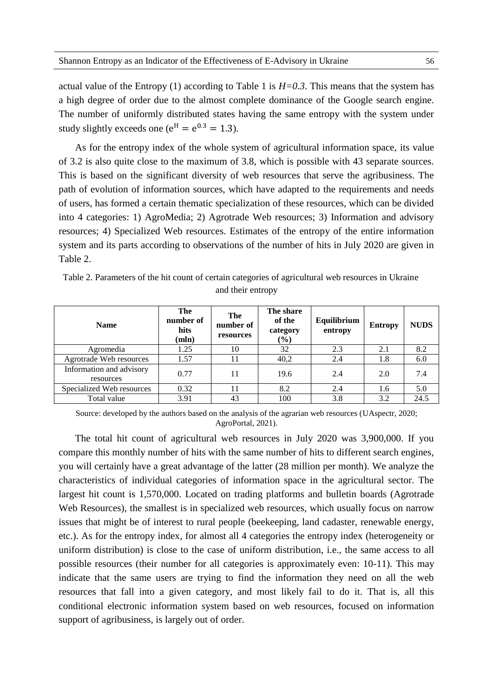actual value of the Entropy (1) according to Table 1 is  $H=0.3$ . This means that the system has a high degree of order due to the almost complete dominance of the Google search engine. The number of uniformly distributed states having the same entropy with the system under study slightly exceeds one ( $e^H = e^{0.3} = 1.3$ ).

As for the entropy index of the whole system of agricultural information space, its value of 3.2 is also quite close to the maximum of 3.8, which is possible with 43 separate sources. This is based on the significant diversity of web resources that serve the agribusiness. The path of evolution of information sources, which have adapted to the requirements and needs of users, has formed a certain thematic specialization of these resources, which can be divided into 4 categories: 1) AgroMedia; 2) Agrotrade Web resources; 3) Information and advisory resources; 4) Specialized Web resources. Estimates of the entropy of the entire information system and its parts according to observations of the number of hits in July 2020 are given in Table 2.

|                                       |                                   | and then emopy                |                                        |                        |                |             |
|---------------------------------------|-----------------------------------|-------------------------------|----------------------------------------|------------------------|----------------|-------------|
| <b>Name</b>                           | The<br>number of<br>hits<br>(mln) | The<br>number of<br>resources | The share<br>of the<br>category<br>(%) | Equilibrium<br>entropy | <b>Entropy</b> | <b>NUDS</b> |
| Agromedia                             | 1.25                              | 10                            | 32                                     | 2.3                    | 2.1            | 8.2         |
| Agrotrade Web resources               | 1.57                              |                               | 40,2                                   | 2.4                    | 1.8            | 6.0         |
| Information and advisory<br>resources | 0.77                              | 11                            | 19.6                                   | 2.4                    | 2.0            | 7.4         |
| Specialized Web resources             | 0.32                              |                               | 8.2                                    | 2.4                    | 1.6            | 5.0         |

Table 2. Parameters of the hit count of certain categories of agricultural web resources in Ukraine and their entropy

Source: developed by the authors based on the analysis of the agrarian web resources (UAspectr, 2020; AgroPortal, 2021).

Total value  $\begin{array}{|c|c|c|c|c|c|} \hline 3.91 & 43 & 100 & 3.8 & 3.2 & 24.5 \ \hline \end{array}$ 

The total hit count of agricultural web resources in July 2020 was 3,900,000. If you compare this monthly number of hits with the same number of hits to different search engines, you will certainly have a great advantage of the latter (28 million per month). We analyze the characteristics of individual categories of information space in the agricultural sector. The largest hit count is 1,570,000. Located on trading platforms and bulletin boards (Agrotrade Web Resources), the smallest is in specialized web resources, which usually focus on narrow issues that might be of interest to rural people (beekeeping, land cadaster, renewable energy, etc.). As for the entropy index, for almost all 4 categories the entropy index (heterogeneity or uniform distribution) is close to the case of uniform distribution, i.e., the same access to all possible resources (their number for all categories is approximately even: 10-11). This may indicate that the same users are trying to find the information they need on all the web resources that fall into a given category, and most likely fail to do it. That is, all this conditional electronic information system based on web resources, focused on information support of agribusiness, is largely out of order.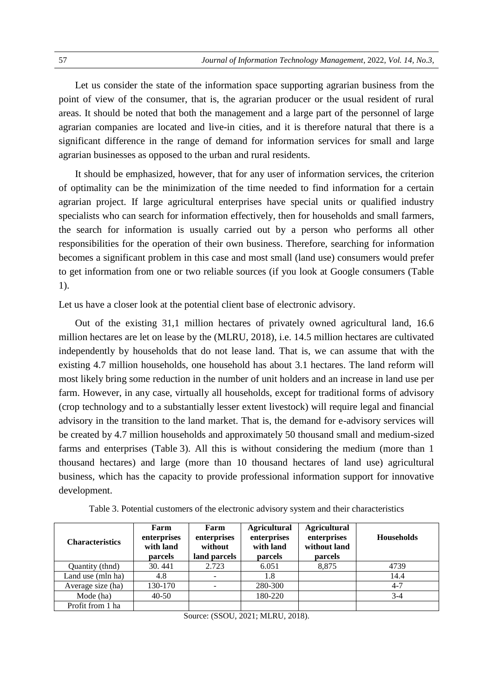Let us consider the state of the information space supporting agrarian business from the point of view of the consumer, that is, the agrarian producer or the usual resident of rural areas. It should be noted that both the management and a large part of the personnel of large agrarian companies are located and live-in cities, and it is therefore natural that there is a significant difference in the range of demand for information services for small and large agrarian businesses as opposed to the urban and rural residents.

It should be emphasized, however, that for any user of information services, the criterion of optimality can be the minimization of the time needed to find information for a certain agrarian project. If large agricultural enterprises have special units or qualified industry specialists who can search for information effectively, then for households and small farmers, the search for information is usually carried out by a person who performs all other responsibilities for the operation of their own business. Therefore, searching for information becomes a significant problem in this case and most small (land use) consumers would prefer to get information from one or two reliable sources (if you look at Google consumers (Table 1).

Let us have a closer look at the potential client base of electronic advisory.

Out of the existing 31,1 million hectares of privately owned agricultural land, 16.6 million hectares are let on lease by the (MLRU, 2018), i.e. 14.5 million hectares are cultivated independently by households that do not lease land. That is, we can assume that with the existing 4.7 million households, one household has about 3.1 hectares. The land reform will most likely bring some reduction in the number of unit holders and an increase in land use per farm. However, in any case, virtually all households, except for traditional forms of advisory (crop technology and to a substantially lesser extent livestock) will require legal and financial advisory in the transition to the land market. That is, the demand for e-advisory services will be created by 4.7 million households and approximately 50 thousand small and medium-sized farms and enterprises (Table 3). All this is without considering the medium (more than 1 thousand hectares) and large (more than 10 thousand hectares of land use) agricultural business, which has the capacity to provide professional information support for innovative development.

| <b>Characteristics</b> | Farm<br>enterprises<br>with land<br>parcels | Farm<br>enterprises<br>without<br>land parcels | <b>Agricultural</b><br>enterprises<br>with land<br>parcels | <b>Agricultural</b><br>enterprises<br>without land<br>parcels | <b>Households</b> |
|------------------------|---------------------------------------------|------------------------------------------------|------------------------------------------------------------|---------------------------------------------------------------|-------------------|
| Quantity (thnd)        | 30.441                                      | 2.723                                          | 6.051                                                      | 8,875                                                         | 4739              |
| Land use (mln ha)      | 4.8                                         |                                                | 1.8                                                        |                                                               | 14.4              |
| Average size (ha)      | 130-170                                     |                                                | 280-300                                                    |                                                               | $4-7$             |
| Mode (ha)              | $40 - 50$                                   |                                                | 180-220                                                    |                                                               | $3 - 4$           |
| Profit from 1 ha       |                                             |                                                |                                                            |                                                               |                   |

Table 3. Potential customers of the electronic advisory system and their characteristics

Source: (SSOU, 2021; MLRU, 2018).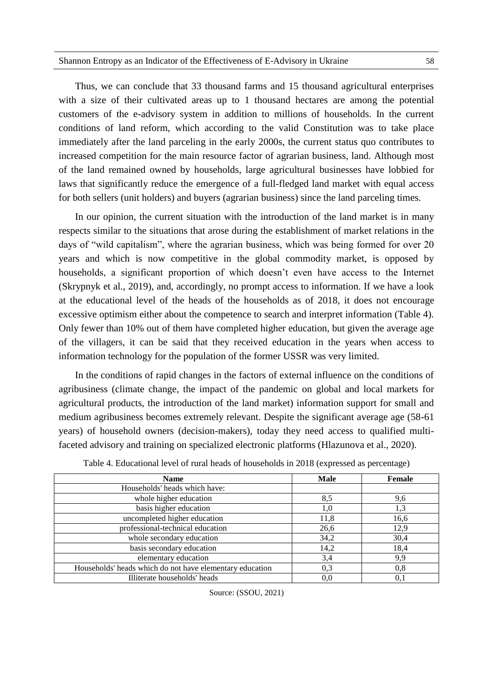Thus, we can conclude that 33 thousand farms and 15 thousand agricultural enterprises with a size of their cultivated areas up to 1 thousand hectares are among the potential customers of the e-advisory system in addition to millions of households. In the current conditions of land reform, which according to the valid Constitution was to take place immediately after the land parceling in the early 2000s, the current status quo contributes to increased competition for the main resource factor of agrarian business, land. Although most of the land remained owned by households, large agricultural businesses have lobbied for laws that significantly reduce the emergence of a full-fledged land market with equal access for both sellers (unit holders) and buyers (agrarian business) since the land parceling times.

In our opinion, the current situation with the introduction of the land market is in many respects similar to the situations that arose during the establishment of market relations in the days of "wild capitalism", where the agrarian business, which was being formed for over 20 years and which is now competitive in the global commodity market, is opposed by households, a significant proportion of which doesn't even have access to the Internet (Skrypnyk et al., 2019), and, accordingly, no prompt access to information. If we have a look at the educational level of the heads of the households as of 2018, it does not encourage excessive optimism either about the competence to search and interpret information (Table 4). Only fewer than 10% out of them have completed higher education, but given the average age of the villagers, it can be said that they received education in the years when access to information technology for the population of the former USSR was very limited.

In the conditions of rapid changes in the factors of external influence on the conditions of agribusiness (climate change, the impact of the pandemic on global and local markets for agricultural products, the introduction of the land market) information support for small and medium agribusiness becomes extremely relevant. Despite the significant average age (58-61 years) of household owners (decision-makers), today they need access to qualified multifaceted advisory and training on specialized electronic platforms (Hlazunova et al., 2020).

| <b>Name</b>                                              | <b>Male</b> | Female |
|----------------------------------------------------------|-------------|--------|
| Households' heads which have:                            |             |        |
| whole higher education                                   | 8,5         | 9,6    |
| basis higher education                                   | 1.0         | 1,3    |
| uncompleted higher education                             | 11,8        | 16,6   |
| professional-technical education                         | 26,6        | 12,9   |
| whole secondary education                                | 34,2        | 30,4   |
| basis secondary education                                | 14,2        | 18,4   |
| elementary education                                     | 3,4         | 9,9    |
| Households' heads which do not have elementary education | 0.3         | 0.8    |
| Illiterate households' heads                             | 0.0         |        |

Table 4. Educational level of rural heads of households in 2018 (expressed as percentage)

Source: (SSOU, 2021)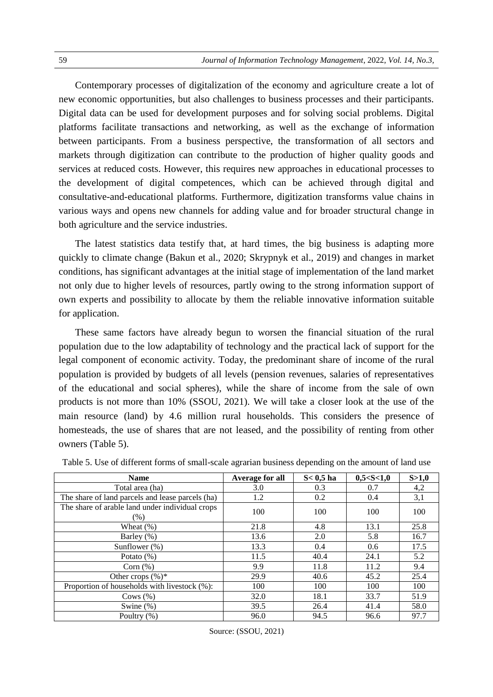Contemporary processes of digitalization of the economy and agriculture create a lot of new economic opportunities, but also challenges to business processes and their participants. Digital data can be used for development purposes and for solving social problems. Digital platforms facilitate transactions and networking, as well as the exchange of information between participants. From a business perspective, the transformation of all sectors and markets through digitization can contribute to the production of higher quality goods and services at reduced costs. However, this requires new approaches in educational processes to the development of digital competences, which can be achieved through digital and consultative-and-educational platforms. Furthermore, digitization transforms value chains in various ways and opens new channels for adding value and for broader structural change in both agriculture and the service industries.

The latest statistics data testify that, at hard times, the big business is adapting more quickly to climate change (Bakun et al., 2020; Skrypnyk et al., 2019) and changes in market conditions, has significant advantages at the initial stage of implementation of the land market not only due to higher levels of resources, partly owing to the strong information support of own experts and possibility to allocate by them the reliable innovative information suitable for application.

These same factors have already begun to worsen the financial situation of the rural population due to the low adaptability of technology and the practical lack of support for the legal component of economic activity. Today, the predominant share of income of the rural population is provided by budgets of all levels (pension revenues, salaries of representatives of the educational and social spheres), while the share of income from the sale of own products is not more than 10% (SSOU, 2021). We will take a closer look at the use of the main resource (land) by 4.6 million rural households. This considers the presence of homesteads, the use of shares that are not leased, and the possibility of renting from other owners (Table 5).

| <b>Name</b>                                               | Average for all | $S < 0.5$ ha | 0,5 < S < 1,0 | S > 1,0 |
|-----------------------------------------------------------|-----------------|--------------|---------------|---------|
| Total area (ha)                                           | 3.0             | 0.3          | 0.7           | 4,2     |
| The share of land parcels and lease parcels (ha)          | 1.2             | 0.2          | 0.4           | 3,1     |
| The share of arable land under individual crops<br>$(\%)$ | 100             | 100          | 100           | 100     |
| Wheat $(\%)$                                              | 21.8            | 4.8          | 13.1          | 25.8    |
| Barley (%)                                                | 13.6            | 2.0          | 5.8           | 16.7    |
| Sunflower $(\%)$                                          | 13.3            | 0.4          | 0.6           | 17.5    |
| Potato $(\%)$                                             | 11.5            | 40.4         | 24.1          | 5.2     |
| Corn $(\%)$                                               | 9.9             | 11.8         | 11.2          | 9.4     |
| Other crops $(\%)^*$                                      | 29.9            | 40.6         | 45.2          | 25.4    |
| Proportion of households with livestock (%):              | 100             | 100          | 100           | 100     |
| Cows $(\% )$                                              | 32.0            | 18.1         | 33.7          | 51.9    |
| Swine $(\%)$                                              | 39.5            | 26.4         | 41.4          | 58.0    |
| Poultry (%)                                               | 96.0            | 94.5         | 96.6          | 97.7    |

Table 5. Use of different forms of small-scale agrarian business depending on the amount of land use

Source: (SSOU, 2021)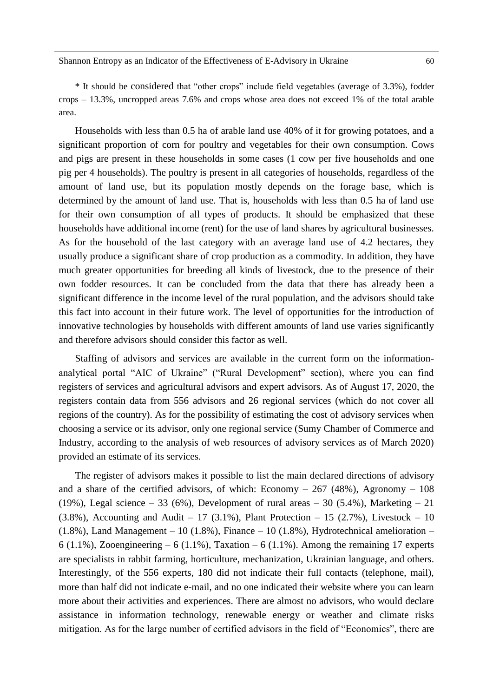\* It should be considered that "other crops" include field vegetables (average of 3.3%), fodder crops – 13.3%, uncropped areas 7.6% and crops whose area does not exceed 1% of the total arable area.

Households with less than 0.5 ha of arable land use 40% of it for growing potatoes, and a significant proportion of corn for poultry and vegetables for their own consumption. Cows and pigs are present in these households in some cases (1 cow per five households and one pig per 4 households). The poultry is present in all categories of households, regardless of the amount of land use, but its population mostly depends on the forage base, which is determined by the amount of land use. That is, households with less than 0.5 ha of land use for their own consumption of all types of products. It should be emphasized that these households have additional income (rent) for the use of land shares by agricultural businesses. As for the household of the last category with an average land use of 4.2 hectares, they usually produce a significant share of crop production as a commodity. In addition, they have much greater opportunities for breeding all kinds of livestock, due to the presence of their own fodder resources. It can be concluded from the data that there has already been a significant difference in the income level of the rural population, and the advisors should take this fact into account in their future work. The level of opportunities for the introduction of innovative technologies by households with different amounts of land use varies significantly and therefore advisors should consider this factor as well.

Staffing of advisors and services are available in the current form on the informationanalytical portal "AIC of Ukraine" ("Rural Development" section), where you can find registers of services and agricultural advisors and expert advisors. As of August 17, 2020, the registers contain data from 556 advisors and 26 regional services (which do not cover all regions of the country). As for the possibility of estimating the cost of advisory services when choosing a service or its advisor, only one regional service (Sumy Chamber of Commerce and Industry, according to the analysis of web resources of advisory services as of March 2020) provided an estimate of its services.

The register of advisors makes it possible to list the main declared directions of advisory and a share of the certified advisors, of which: Economy  $-267$  (48%), Agronomy  $-108$ (19%), Legal science – 33 (6%), Development of rural areas – 30 (5.4%), Marketing – 21  $(3.8\%)$ , Accounting and Audit – 17  $(3.1\%)$ , Plant Protection – 15  $(2.7\%)$ , Livestock – 10  $(1.8\%)$ , Land Management – 10 (1.8%), Finance – 10 (1.8%), Hydrotechnical amelioration – 6 (1.1%), Zooengineering – 6 (1.1%), Taxation – 6 (1.1%). Among the remaining 17 experts are specialists in rabbit farming, horticulture, mechanization, Ukrainian language, and others. Interestingly, of the 556 experts, 180 did not indicate their full contacts (telephone, mail), more than half did not indicate e-mail, and no one indicated their website where you can learn more about their activities and experiences. There are almost no advisors, who would declare assistance in information technology, renewable energy or weather and climate risks mitigation. As for the large number of certified advisors in the field of "Economics", there are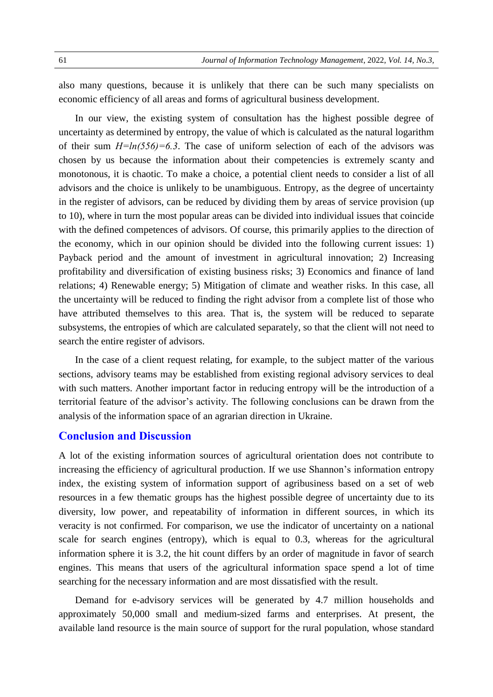also many questions, because it is unlikely that there can be such many specialists on economic efficiency of all areas and forms of agricultural business development.

In our view, the existing system of consultation has the highest possible degree of uncertainty as determined by entropy, the value of which is calculated as the natural logarithm of their sum  $H=ln(556)=6.3$ . The case of uniform selection of each of the advisors was chosen by us because the information about their competencies is extremely scanty and monotonous, it is chaotic. To make a choice, a potential client needs to consider a list of all advisors and the choice is unlikely to be unambiguous. Entropy, as the degree of uncertainty in the register of advisors, can be reduced by dividing them by areas of service provision (up to 10), where in turn the most popular areas can be divided into individual issues that coincide with the defined competences of advisors. Of course, this primarily applies to the direction of the economy, which in our opinion should be divided into the following current issues: 1) Payback period and the amount of investment in agricultural innovation; 2) Increasing profitability and diversification of existing business risks; 3) Economics and finance of land relations; 4) Renewable energy; 5) Mitigation of climate and weather risks. In this case, all the uncertainty will be reduced to finding the right advisor from a complete list of those who have attributed themselves to this area. That is, the system will be reduced to separate subsystems, the entropies of which are calculated separately, so that the client will not need to search the entire register of advisors.

In the case of a client request relating, for example, to the subject matter of the various sections, advisory teams may be established from existing regional advisory services to deal with such matters. Another important factor in reducing entropy will be the introduction of a territorial feature of the advisor's activity. The following conclusions can be drawn from the analysis of the information space of an agrarian direction in Ukraine.

#### **Conclusion and Discussion**

A lot of the existing information sources of agricultural orientation does not contribute to increasing the efficiency of agricultural production. If we use Shannon's information entropy index, the existing system of information support of agribusiness based on a set of web resources in a few thematic groups has the highest possible degree of uncertainty due to its diversity, low power, and repeatability of information in different sources, in which its veracity is not confirmed. For comparison, we use the indicator of uncertainty on a national scale for search engines (entropy), which is equal to 0.3, whereas for the agricultural information sphere it is 3.2, the hit count differs by an order of magnitude in favor of search engines. This means that users of the agricultural information space spend a lot of time searching for the necessary information and are most dissatisfied with the result.

Demand for e-advisory services will be generated by 4.7 million households and approximately 50,000 small and medium-sized farms and enterprises. At present, the available land resource is the main source of support for the rural population, whose standard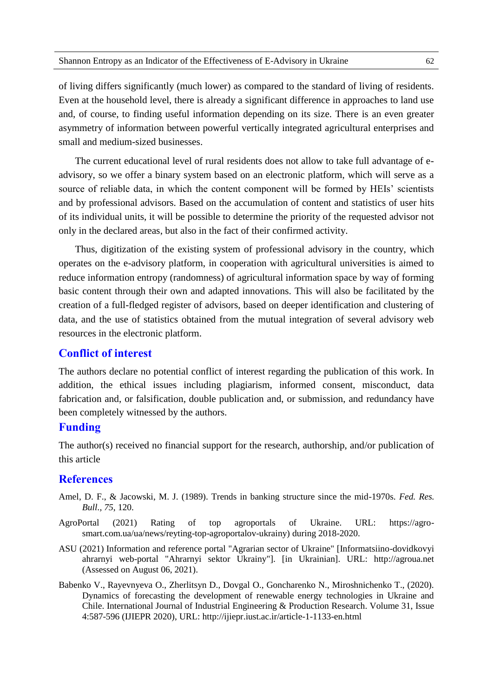of living differs significantly (much lower) as compared to the standard of living of residents. Even at the household level, there is already a significant difference in approaches to land use and, of course, to finding useful information depending on its size. There is an even greater asymmetry of information between powerful vertically integrated agricultural enterprises and small and medium-sized businesses.

The current educational level of rural residents does not allow to take full advantage of eadvisory, so we offer a binary system based on an electronic platform, which will serve as a source of reliable data, in which the content component will be formed by HEIs' scientists and by professional advisors. Based on the accumulation of content and statistics of user hits of its individual units, it will be possible to determine the priority of the requested advisor not only in the declared areas, but also in the fact of their confirmed activity.

Thus, digitization of the existing system of professional advisory in the country, which operates on the e-advisory platform, in cooperation with agricultural universities is aimed to reduce information entropy (randomness) of agricultural information space by way of forming basic content through their own and adapted innovations. This will also be facilitated by the creation of a full-fledged register of advisors, based on deeper identification and clustering of data, and the use of statistics obtained from the mutual integration of several advisory web resources in the electronic platform.

#### **Conflict of interest**

The authors declare no potential conflict of interest regarding the publication of this work. In addition, the ethical issues including plagiarism, informed consent, misconduct, data fabrication and, or falsification, double publication and, or submission, and redundancy have been completely witnessed by the authors.

#### **Funding**

The author(s) received no financial support for the research, authorship, and/or publication of this article

## **References**

- Amel, D. F., & Jacowski, M. J. (1989). Trends in banking structure since the mid-1970s. *Fed. Res. Bull., 75*, 120.
- AgroPortal (2021) Rating of top agroportals of Ukraine. URL: https://agrosmart.com.ua/ua/news/reyting-top-agroportalov-ukrainy) during 2018-2020.
- ASU (2021) Information and reference portal "Agrarian sector of Ukraine" [Informatsiino-dovidkovyi ahrarnyi web-portal "Ahrarnyi sektor Ukrainy"]. [in Ukrainian]. URL: http://agroua.net (Assessed on August 06, 2021).
- Babenko V., Rayevnyeva O., Zherlitsyn D., Dovgal O., Goncharenko N., Miroshnichenko T., (2020). Dynamics of forecasting the development of renewable energy technologies in Ukraine and Chile. International Journal of Industrial Engineering & Production Research. Volume 31, Issue 4:587-596 (IJIEPR 2020), URL: http://ijiepr.iust.ac.ir/article-1-1133-en.html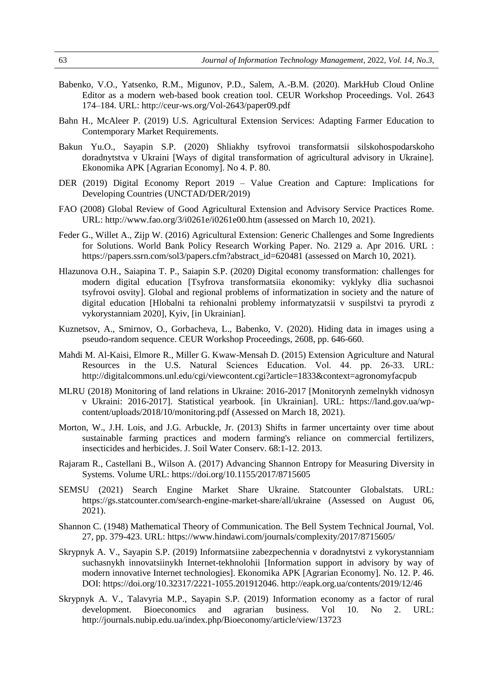- Babenko, V.O., Yatsenko, R.M., Migunov, P.D., Salem, A.-B.M. (2020). MarkHub Cloud Online Editor as a modern web-based book creation tool. CEUR Workshop Proceedings. Vol. 2643 174–184. URL: http://ceur-ws.org/Vol-2643/paper09.pdf
- Bahn H., McAleer P. (2019) U.S. Agricultural Extension Services: Adapting Farmer Education to Contemporary Market Requirements.
- Bakun Yu.O., Sayapin S.P. (2020) Shliakhy tsyfrovoi transformatsii silskohospodarskoho doradnytstva v Ukraini [Ways of digital transformation of agricultural advisory in Ukraine]. Ekonomika APK [Agrarian Economy]. No 4. P. 80.
- DER (2019) Digital Economy Report 2019 Value Creation and Capture: Implications for Developing Countries (UNCTAD/DER/2019)
- FAO (2008) Global Review of Good Agricultural Extension and Advisory Service Practices Rome. URL: http://www.fao.org/3/i0261e/i0261e00.htm (assessed on March 10, 2021).
- Feder G., Willet A., Zijp W. (2016) Agricultural Extension: Generic Challenges and Some Ingredients for Solutions. World Bank Policy Research Working Paper. No. 2129 a. Apr 2016. URL : https://papers.ssrn.com/sol3/papers.cfm?abstract\_id=620481 (assessed on March 10, 2021).
- Hlazunova O.H., Saiapina T. P., Saiapin S.P. (2020) Digital economy transformation: challenges for modern digital education [Tsyfrova transformatsiia ekonomiky: vyklyky dlia suchasnoi tsyfrovoi osvity]. Global and regional problems of informatization in society and the nature of digital education [Hlobalni ta rehionalni problemy informatyzatsii v suspilstvi ta pryrodi z vykorystanniam 2020], Kyiv, [in Ukrainian].
- Kuznetsov, A., Smirnov, O., Gorbacheva, L., Babenko, V. (2020). Hiding data in images using a pseudo-random sequence. CEUR Workshop Proceedings, 2608, pp. 646-660.
- Mahdi M. Al-Kaisi, Elmore R., Miller G. Kwaw-Mensah D. (2015) Extension Agriculture and Natural Resources in the U.S. Natural Sciences Education. Vol. 44. pp. 26-33. URL: http://digitalcommons.unl.edu/cgi/viewcontent.cgi?article=1833&context=agronomyfacpub
- MLRU (2018) Monitoring of land relations in Ukraine: 2016-2017 [Monitorynh zemelnykh vidnosyn v Ukraini: 2016-2017]. Statistical yearbook. [in Ukrainian]. URL: https://land.gov.ua/wpcontent/uploads/2018/10/monitoring.pdf (Assessed on March 18, 2021).
- Morton, W., J.H. Lois, and J.G. Arbuckle, Jr. (2013) Shifts in farmer uncertainty over time about sustainable farming practices and modern farming's reliance on commercial fertilizers, insecticides and herbicides. J. Soil Water Conserv. 68:1-12. 2013.
- Rajaram R., Castellani B., Wilson A. (2017) Advancing Shannon Entropy for Measuring Diversity in Systems. Volume URL: https://doi.org/10.1155/2017/8715605
- SEMSU (2021) Search Engine Market Share Ukraine. Statcounter Globalstats. URL: https://gs.statcounter.com/search-engine-market-share/all/ukraine (Assessed on August 06, 2021).
- Shannon C. (1948) Mathematical Theory of Communication. The Bell System Technical Journal, Vol. 27, pp. 379-423. URL: https://www.hindawi.com/journals/complexity/2017/8715605/
- Skrypnyk A. V., Sayapin S.P. (2019) Informatsiine zabezpechennia v doradnytstvi z vykorystanniam suchasnykh innovatsiinykh Internet-tekhnolohii [Information support in advisory by way of modern innovative Internet technologies]. Ekonomika APK [Agrarian Economy]. No. 12. P. 46. DOI: https://doi.org/10.32317/2221-1055.201912046. http://eapk.org.ua/contents/2019/12/46
- Skrypnyk A. V., Talavyria M.P., Sayapin S.P. (2019) Information economy as a factor of rural development. Bioeconomics and agrarian business. Vol 10. No 2. URL: http://journals.nubip.edu.ua/index.php/Bioeconomy/article/view/13723